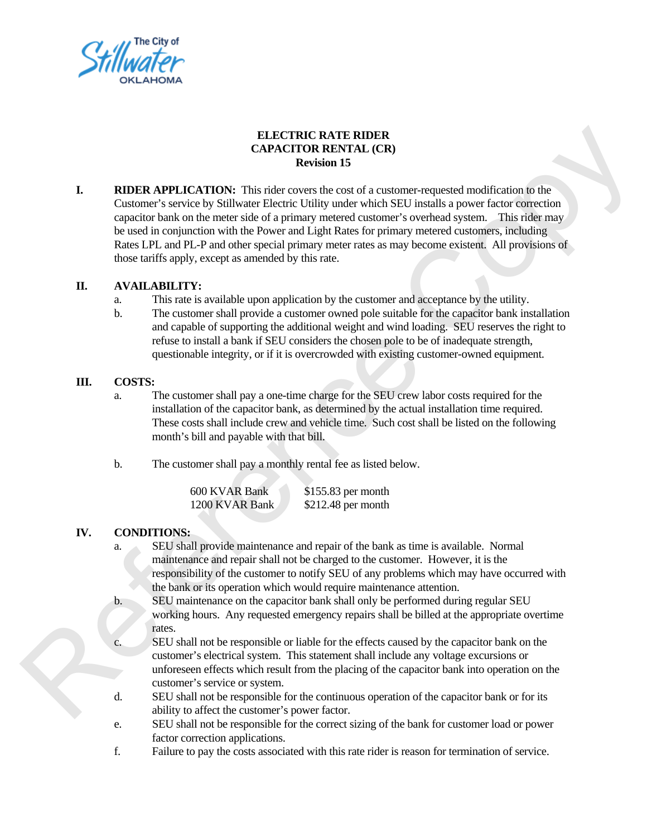

# **ELECTRIC RATE RIDER CAPACITOR RENTAL (CR) Revision 15**

**I. RIDER APPLICATION:** This rider covers the cost of a customer-requested modification to the Customer's service by Stillwater Electric Utility under which SEU installs a power factor correction capacitor bank on the meter side of a primary metered customer's overhead system. This rider may be used in conjunction with the Power and Light Rates for primary metered customers, including Rates LPL and PL-P and other special primary meter rates as may become existent. All provisions of those tariffs apply, except as amended by this rate. omer-requested modification to the<br>EU installs a power factor correction<br>r's overhead system. This rider may<br>hary metered customers, including<br>ay become existent. All provisions of<br>and acceptance by the utility.<br>table for

## **II. AVAILABILITY:**

- a. This rate is available upon application by the customer and acceptance by the utility.
- b. The customer shall provide a customer owned pole suitable for the capacitor bank installation and capable of supporting the additional weight and wind loading. SEU reserves the right to refuse to install a bank if SEU considers the chosen pole to be of inadequate strength, questionable integrity, or if it is overcrowded with existing customer-owned equipment.

#### **III. COSTS:**

- a. The customer shall pay a one-time charge for the SEU crew labor costs required for the installation of the capacitor bank, as determined by the actual installation time required. These costs shall include crew and vehicle time. Such cost shall be listed on the following month's bill and payable with that bill. and vegnome of well-booking to maximal region as well-book of the chosen pole to be of interest to install about if SEU considers the chosen pole to be of interestinable integrity, or if it is overcrowded with existing cus
	- b. The customer shall pay a monthly rental fee as listed below.

| 600 KVAR Bank  | $$155.83$ per month |
|----------------|---------------------|
| 1200 KVAR Bank | $$212.48$ per month |

## **IV. CONDITIONS:**

- a. SEU shall provide maintenance and repair of the bank as time is available. Normal maintenance and repair shall not be charged to the customer. However, it is the responsibility of the customer to notify SEU of any problems which may have occurred with the bank or its operation which would require maintenance attention.
- b. SEU maintenance on the capacitor bank shall only be performed during regular SEU working hours. Any requested emergency repairs shall be billed at the appropriate overtime rates.
- c. SEU shall not be responsible or liable for the effects caused by the capacitor bank on the customer's electrical system. This statement shall include any voltage excursions or unforeseen effects which result from the placing of the capacitor bank into operation on the customer's service or system.
- d. SEU shall not be responsible for the continuous operation of the capacitor bank or for its ability to affect the customer's power factor.
- e. SEU shall not be responsible for the correct sizing of the bank for customer load or power factor correction applications.
- f. Failure to pay the costs associated with this rate rider is reason for termination of service.